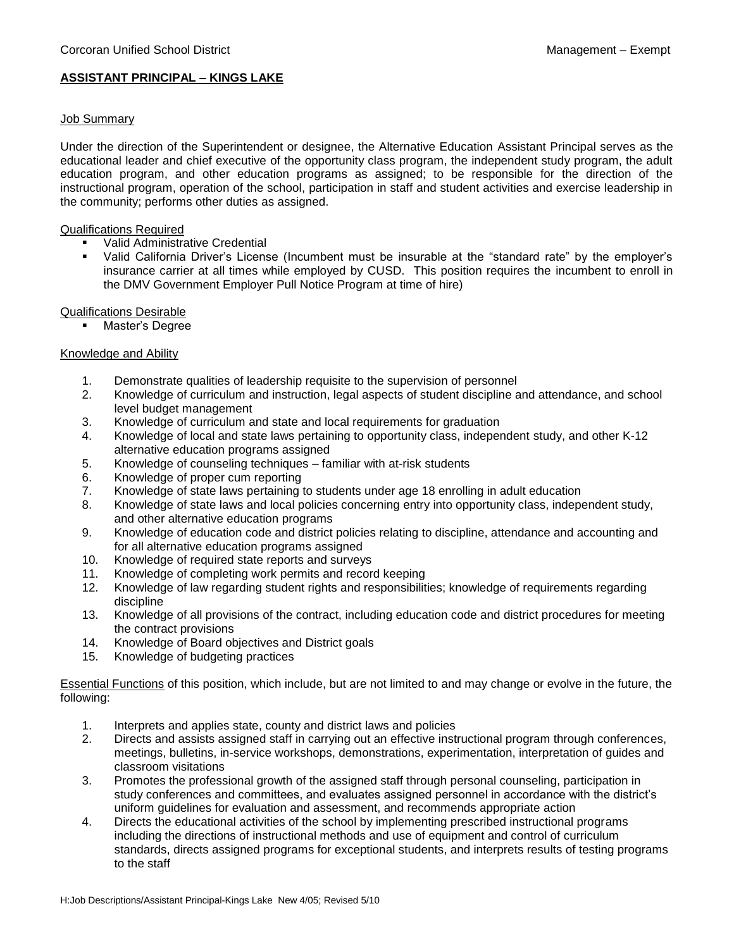# **ASSISTANT PRINCIPAL – KINGS LAKE**

# Job Summary

Under the direction of the Superintendent or designee, the Alternative Education Assistant Principal serves as the educational leader and chief executive of the opportunity class program, the independent study program, the adult education program, and other education programs as assigned; to be responsible for the direction of the instructional program, operation of the school, participation in staff and student activities and exercise leadership in the community; performs other duties as assigned.

#### Qualifications Required

- **Valid Administrative Credential**
- Valid California Driver's License (Incumbent must be insurable at the "standard rate" by the employer's insurance carrier at all times while employed by CUSD. This position requires the incumbent to enroll in the DMV Government Employer Pull Notice Program at time of hire)

# Qualifications Desirable

**•** Master's Degree

# Knowledge and Ability

- 1. Demonstrate qualities of leadership requisite to the supervision of personnel
- 2. Knowledge of curriculum and instruction, legal aspects of student discipline and attendance, and school level budget management
- 3. Knowledge of curriculum and state and local requirements for graduation
- 4. Knowledge of local and state laws pertaining to opportunity class, independent study, and other K-12 alternative education programs assigned
- 5. Knowledge of counseling techniques familiar with at-risk students
- 6. Knowledge of proper cum reporting
- 7. Knowledge of state laws pertaining to students under age 18 enrolling in adult education
- 8. Knowledge of state laws and local policies concerning entry into opportunity class, independent study, and other alternative education programs
- 9. Knowledge of education code and district policies relating to discipline, attendance and accounting and for all alternative education programs assigned
- 10. Knowledge of required state reports and surveys
- 11. Knowledge of completing work permits and record keeping
- 12. Knowledge of law regarding student rights and responsibilities; knowledge of requirements regarding discipline
- 13. Knowledge of all provisions of the contract, including education code and district procedures for meeting the contract provisions
- 14. Knowledge of Board objectives and District goals
- 15. Knowledge of budgeting practices

Essential Functions of this position, which include, but are not limited to and may change or evolve in the future, the following:

- 1. Interprets and applies state, county and district laws and policies
- 2. Directs and assists assigned staff in carrying out an effective instructional program through conferences, meetings, bulletins, in-service workshops, demonstrations, experimentation, interpretation of guides and classroom visitations
- 3. Promotes the professional growth of the assigned staff through personal counseling, participation in study conferences and committees, and evaluates assigned personnel in accordance with the district's uniform guidelines for evaluation and assessment, and recommends appropriate action
- 4. Directs the educational activities of the school by implementing prescribed instructional programs including the directions of instructional methods and use of equipment and control of curriculum standards, directs assigned programs for exceptional students, and interprets results of testing programs to the staff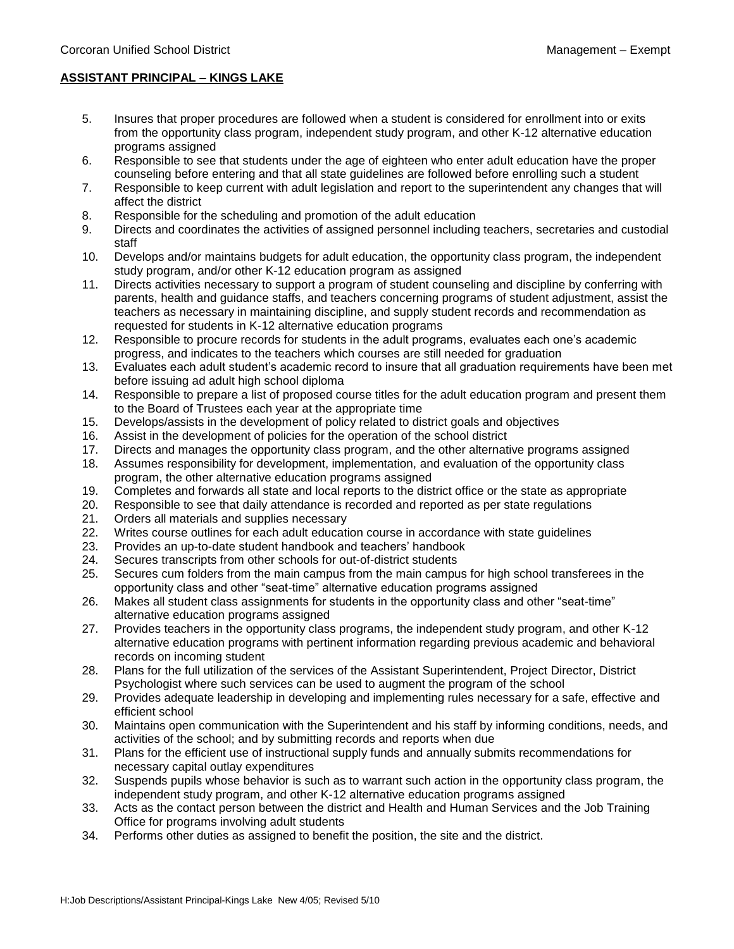#### **ASSISTANT PRINCIPAL – KINGS LAKE**

- 5. Insures that proper procedures are followed when a student is considered for enrollment into or exits from the opportunity class program, independent study program, and other K-12 alternative education programs assigned
- 6. Responsible to see that students under the age of eighteen who enter adult education have the proper counseling before entering and that all state guidelines are followed before enrolling such a student
- 7. Responsible to keep current with adult legislation and report to the superintendent any changes that will affect the district
- 8. Responsible for the scheduling and promotion of the adult education
- 9. Directs and coordinates the activities of assigned personnel including teachers, secretaries and custodial staff
- 10. Develops and/or maintains budgets for adult education, the opportunity class program, the independent study program, and/or other K-12 education program as assigned
- 11. Directs activities necessary to support a program of student counseling and discipline by conferring with parents, health and guidance staffs, and teachers concerning programs of student adjustment, assist the teachers as necessary in maintaining discipline, and supply student records and recommendation as requested for students in K-12 alternative education programs
- 12. Responsible to procure records for students in the adult programs, evaluates each one's academic progress, and indicates to the teachers which courses are still needed for graduation
- 13. Evaluates each adult student's academic record to insure that all graduation requirements have been met before issuing ad adult high school diploma
- 14. Responsible to prepare a list of proposed course titles for the adult education program and present them to the Board of Trustees each year at the appropriate time
- 15. Develops/assists in the development of policy related to district goals and objectives
- 16. Assist in the development of policies for the operation of the school district
- 17. Directs and manages the opportunity class program, and the other alternative programs assigned
- 18. Assumes responsibility for development, implementation, and evaluation of the opportunity class program, the other alternative education programs assigned
- 19. Completes and forwards all state and local reports to the district office or the state as appropriate
- 20. Responsible to see that daily attendance is recorded and reported as per state regulations
- 21. Orders all materials and supplies necessary
- 22. Writes course outlines for each adult education course in accordance with state guidelines
- 23. Provides an up-to-date student handbook and teachers' handbook
- 24. Secures transcripts from other schools for out-of-district students
- 25. Secures cum folders from the main campus from the main campus for high school transferees in the opportunity class and other "seat-time" alternative education programs assigned
- 26. Makes all student class assignments for students in the opportunity class and other "seat-time" alternative education programs assigned
- 27. Provides teachers in the opportunity class programs, the independent study program, and other K-12 alternative education programs with pertinent information regarding previous academic and behavioral records on incoming student
- 28. Plans for the full utilization of the services of the Assistant Superintendent, Project Director, District Psychologist where such services can be used to augment the program of the school
- 29. Provides adequate leadership in developing and implementing rules necessary for a safe, effective and efficient school
- 30. Maintains open communication with the Superintendent and his staff by informing conditions, needs, and activities of the school; and by submitting records and reports when due
- 31. Plans for the efficient use of instructional supply funds and annually submits recommendations for necessary capital outlay expenditures
- 32. Suspends pupils whose behavior is such as to warrant such action in the opportunity class program, the independent study program, and other K-12 alternative education programs assigned
- 33. Acts as the contact person between the district and Health and Human Services and the Job Training Office for programs involving adult students
- 34. Performs other duties as assigned to benefit the position, the site and the district.